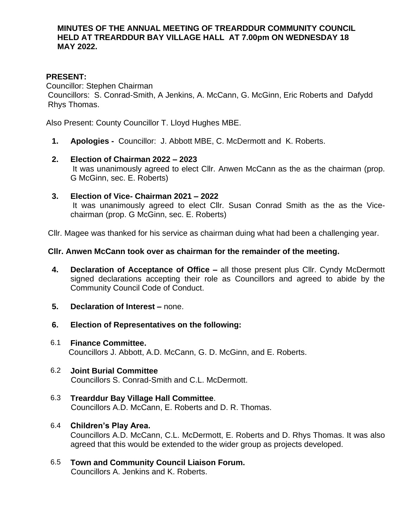#### **MINUTES OF THE ANNUAL MEETING OF TREARDDUR COMMUNITY COUNCIL HELD AT TREARDDUR BAY VILLAGE HALL AT 7.00pm ON WEDNESDAY 18 MAY 2022.**

### **PRESENT:**

Councillor: Stephen Chairman

Councillors: S. Conrad-Smith, A Jenkins, A. McCann, G. McGinn, Eric Roberts and Dafydd Rhys Thomas.

Also Present: County Councillor T. Lloyd Hughes MBE.

**1. Apologies -** Councillor: J. Abbott MBE, C. McDermott and K. Roberts.

# **2. Election of Chairman 2022 – 2023** It was unanimously agreed to elect Cllr. Anwen McCann as the as the chairman (prop. G McGinn, sec. E. Roberts)

**3. Election of Vice- Chairman 2021 – 2022** It was unanimously agreed to elect Cllr. Susan Conrad Smith as the as the Vicechairman (prop. G McGinn, sec. E. Roberts)

Cllr. Magee was thanked for his service as chairman duing what had been a challenging year.

# **Cllr. Anwen McCann took over as chairman for the remainder of the meeting.**

- **4. Declaration of Acceptance of Office –** all those present plus Cllr. Cyndy McDermott signed declarations accepting their role as Councillors and agreed to abide by the Community Council Code of Conduct.
- **5. Declaration of Interest –** none.
- **6. Election of Representatives on the following:**
- 6.1 **Finance Committee.** Councillors J. Abbott, A.D. McCann, G. D. McGinn, and E. Roberts.
- 6.2 **Joint Burial Committee** Councillors S. Conrad-Smith and C.L. McDermott.
- 6.3 **Trearddur Bay Village Hall Committee**. Councillors A.D. McCann, E. Roberts and D. R. Thomas.
- 6.4 **Children's Play Area.**

Councillors A.D. McCann, C.L. McDermott, E. Roberts and D. Rhys Thomas. It was also agreed that this would be extended to the wider group as projects developed.

6.5 **Town and Community Council Liaison Forum.** Councillors A. Jenkins and K. Roberts.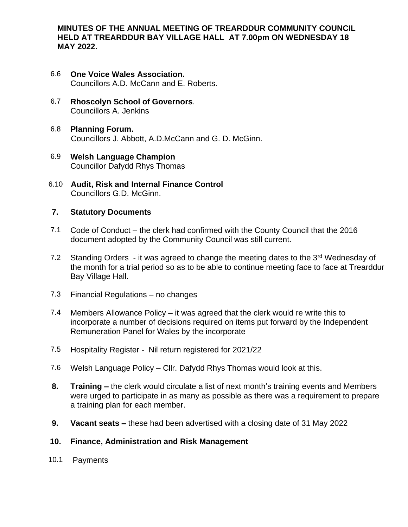**MINUTES OF THE ANNUAL MEETING OF TREARDDUR COMMUNITY COUNCIL HELD AT TREARDDUR BAY VILLAGE HALL AT 7.00pm ON WEDNESDAY 18 MAY 2022.**

- 6.6 **One Voice Wales Association.** Councillors A.D. McCann and E. Roberts.
- 6.7 **Rhoscolyn School of Governors**. Councillors A. Jenkins
- 6.8 **Planning Forum.** Councillors J. Abbott, A.D.McCann and G. D. McGinn.
- 6.9 **Welsh Language Champion** Councillor Dafydd Rhys Thomas
- 6.10 **Audit, Risk and Internal Finance Control**  Councillors G.D. McGinn.

# **7. Statutory Documents**

- 7.1 Code of Conduct the clerk had confirmed with the County Council that the 2016 document adopted by the Community Council was still current.
- 7.2 Standing Orders it was agreed to change the meeting dates to the  $3<sup>rd</sup>$  Wednesday of the month for a trial period so as to be able to continue meeting face to face at Trearddur Bay Village Hall.
- 7.3 Financial Regulations no changes
- 7.4 Members Allowance Policy it was agreed that the clerk would re write this to incorporate a number of decisions required on items put forward by the Independent Remuneration Panel for Wales by the incorporate
- 7.5 Hospitality Register Nil return registered for 2021/22
- 7.6 Welsh Language Policy Cllr. Dafydd Rhys Thomas would look at this.
- **8. Training –** the clerk would circulate a list of next month's training events and Members were urged to participate in as many as possible as there was a requirement to prepare a training plan for each member.
- **9. Vacant seats –** these had been advertised with a closing date of 31 May 2022

### **10. Finance, Administration and Risk Management**

10.1 Payments